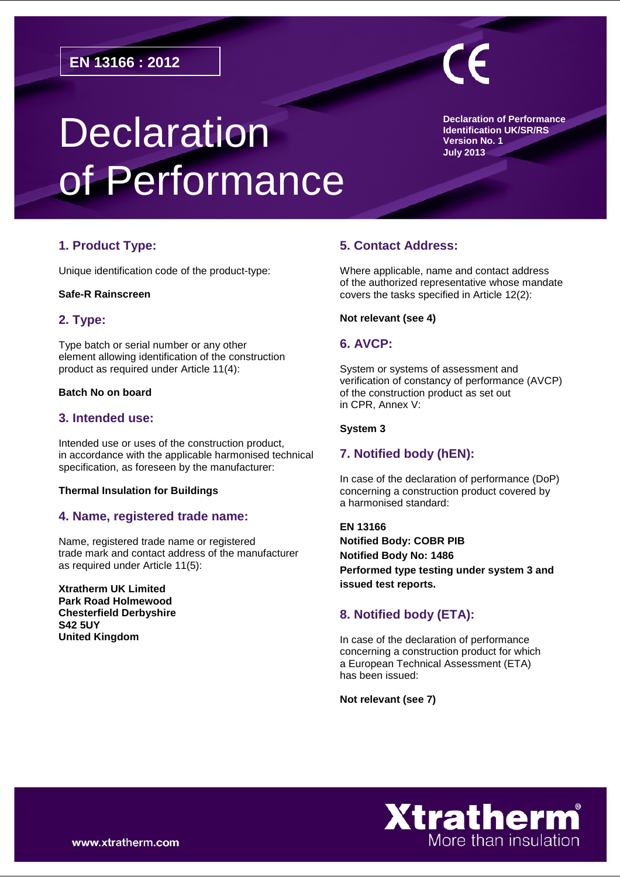# **Declaration** of Performance

**Declaration of Performance Identification UK/SR/RS Version No. 1 July 2013**

# **1. Product Type:**

Unique identification code of the product-type:

#### **Safe-R Rainscreen**

# **2. Type:**

Type batch or serial number or any other element allowing identification of the construction product as required under Article 11(4):

# **Batch No on board**

# **3. Intended use:**

Intended use or uses of the construction product, in accordance with the applicable harmonised technical specification, as foreseen by the manufacturer:

#### **Thermal Insulation for Buildings**

# **4. Name, registered trade name:**

Name, registered trade name or registered trade mark and contact address of the manufacturer as required under Article 11(5):

**Xtratherm UK Limited Park Road Holmewood Chesterfield Derbyshire S42 5UY United Kingdom**

# **5. Contact Address:**

Where applicable, name and contact address of the authorized representative whose mandate covers the tasks specified in Article 12(2):

#### **Not relevant (see 4)**

#### **6. AVCP:**

System or systems of assessment and verification of constancy of performance (AVCP) of the construction product as set out in CPR, Annex V:

#### **System 3**

# **7. Notified body (hEN):**

In case of the declaration of performance (DoP) concerning a construction product covered by a harmonised standard:

**EN 13166 Notified Body: COBR PIB Notified Body No: 1486 Performed type testing under system 3 and issued test reports.** 

# **8. Notified body (ETA):**

In case of the declaration of performance concerning a construction product for which a European Technical Assessment (ETA) has been issued:

**Not relevant (see 7)**